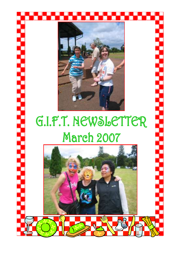

# G.I.F.T. NEWSLETTER **March 2007**

ì

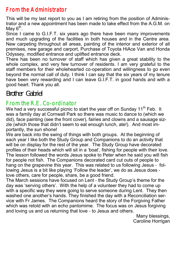### From the Administrator

 This will be my last report to you as I am retiring from the position of Administrator and a new appointment has been made to take effect from the A.G.M. on May 6<sup>th</sup>.

Since I came to G.I.F.T. six years ago there have been many improvements and much upgrading of the facilities in both houses and in the Centre area. New carpeting throughout all areas, painting of the interior and exterior of all premises, new garage and carport, Purchase of Toyota HiAce Van and Honda Odyssey, modified entrance and uplifted entrance deck.

There has been no turnover of staff which has given a great stability to the whole complex, and very few turnover of residents. I am very grateful to the staff members for their wholehearted co-operation and willingness to go even beyond the normal call of duty. I think I can say that the six years of my tenure have been very rewarding and I can leave G.I.F.T. in good hands and with a good heart. Thank you all.

Brother Gabriel

#### From the R.E. Co-ordinator

We had a very successful picnic to start the year off on Sunday  $11<sup>th</sup>$  Feb. It was a family day at Cornwall Park so there was music to dance to (which we did), face painting (see the front cover), fairies and clowns and a sausage sizzle (which those that didn't seem to eat enough lunch, ate!). And most importantly, the sun shone!

We are back into the swing of things with both groups. At the beginning of each year I like both the Study Group and Companions to do an activity that will be on display for the rest of the year. The Study Group have decorated profiles of their heads which will sit in a 'boat', fishing for people with their love. The lesson followed the words Jesus spoke to Peter when he said you will fish for people not fish. The Companions decorated card cut outs of people to hang on the grapevine this year. This was related to us following Jesus - following Jesus is a bit like playing 'Follow the leader', we do as Jesus does love others, care for people, share, be a good friend.

The March sessions have focused on Lent - the Study Group's theme for the day was 'serving others'. With the help of a volunteer they had to come up with a specific way they were going to serve someone during Lent. They then washed one another's hands. They finished the day with a Reconciliation service with Fr James. The Companions heard the story of the Forgiving Father which was retold with an echo pantomime. The focus was on Jesus forgiving and loving us and us returning that love - to Jesus and others.

Many blessings, Caroline Horrigan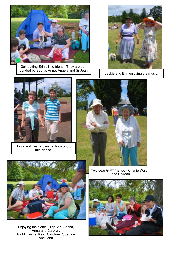

Gail patting Erin's little friend! They are surrounded by Sacha, Anna, Angela and Sr Jean.



Jackie and Erin enjoying the music.



Sonia and Trisha pausing for a photo mid-dance.





Enjoying the picnic - Top: Art, Sacha, Anna and Carolyn. Right: Trisha, Kalo, Caroline R, Janice and John

Two dear GIFT friends - Charlie Waigth and Sr Jean